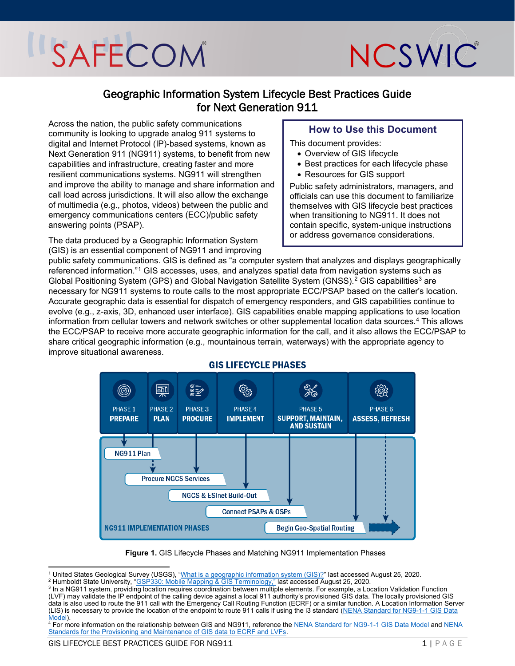

### Geographic Information System Lifecycle Best Practices Guide for Next Generation 911

Across the nation, the public safety communications community is looking to upgrade analog 911 systems to digital and Internet Protocol (IP)-based systems, known as Next Generation 911 (NG911) systems, to benefit from new capabilities and infrastructure, creating faster and more resilient communications systems. NG911 will strengthen and improve the ability to manage and share information and call load across jurisdictions. It will also allow the exchange of multimedia (e.g., photos, videos) between the public and emergency communications centers (ECC)/public safety answering points (PSAP).

The data produced by a Geographic Information System (GIS) is an essential component of NG911 and improving

### **How to Use this Document**

This document provides:

- Overview of GIS lifecycle
- Best practices for each lifecycle phase
- Resources for GIS support

Public safety administrators, managers, and officials can use this document to familiarize themselves with GIS lifecycle best practices when transitioning to NG911. It does not contain specific, system-unique instructions or address governance considerations.

public safety communications. GIS is defined as "a computer system that analyzes and displays geographically referenced information."[1](#page-0-0) GIS accesses, uses, and analyzes spatial data from navigation systems such as Global Positioning System (GPS) and Global Navigation Satellite System (GNSS).<sup>[2](#page-0-1)</sup> GIS capabilities<sup>[3](#page-0-2)</sup> are necessary for NG911 systems to route calls to the most appropriate ECC/PSAP based on the caller's location. Accurate geographic data is essential for dispatch of emergency responders, and GIS capabilities continue to evolve (e.g., z-axis, 3D, enhanced user interface). GIS capabilities enable mapping applications to use location information from cellular towers and network switches or other supplemental location data sources. [4](#page-0-3) This allows the ECC/PSAP to receive more accurate geographic information for the call, and it also allows the ECC/PSAP to share critical geographic information (e.g., mountainous terrain, waterways) with the appropriate agency to improve situational awareness.



#### **GIS LIFECYCLE PHASES**

**Figure 1.** GIS Lifecycle Phases and Matching NG911 Implementation Phases

<span id="page-0-0"></span><sup>&</sup>lt;sup>1</sup> United States Geological Survey (USGS), <u>"What is a geographic information system (GIS)?</u>" last accessed August 25, 2020.<br><sup>2</sup> Humboldt State University, "<u>GSP330: Mobile Mapping & GIS Terminology,"</u> last accessed Augus

<span id="page-0-1"></span>

<span id="page-0-2"></span><sup>&</sup>lt;sup>3</sup> In a NG911 system, providing location requires coordination between multiple elements. For example, a Location Validation Function (LVF) may validate the IP endpoint of the calling device against a local 911 authority's provisioned GIS data. The locally provisioned GIS data is also used to route the 911 call with the Emergency Call Routing Function (ECRF) or a similar function. A Location Information Server (LIS) is necessary to provide the location of the endpoint to route 911 calls if using the i3 standard [\(NENA Standard for NG9-1-1 GIS Data](https://www.nena.org/page/NG911GISDataModel) 

<span id="page-0-3"></span><sup>&</sup>lt;u>Model</u>).<br><sup>4</sup> For more information on the relationship between GIS and NG911, reference the <u>NENA Standard for NG9-1-1 GIS Data Model</u> and <u>NENA</u> [Standards for the Provisioning and Maintenance of GIS data to ECRF and LVFs.](https://www.nena.org/page/ProvGISECRFLVF)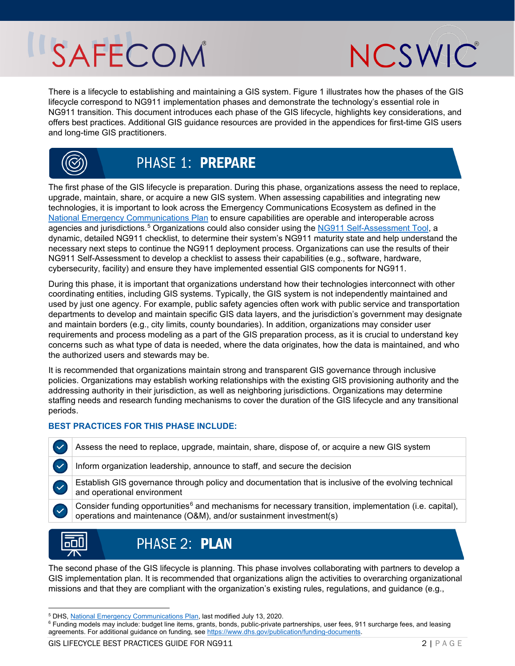

There is a lifecycle to establishing and maintaining a GIS system. Figure 1 illustrates how the phases of the GIS lifecycle correspond to NG911 implementation phases and demonstrate the technology's essential role in NG911 transition. This document introduces each phase of the GIS lifecycle, highlights key considerations, and offers best practices. Additional GIS guidance resources are provided in the appendices for first-time GIS users and long-time GIS practitioners.



### **PHASE 1: PREPARE**

The first phase of the GIS lifecycle is preparation. During this phase, organizations assess the need to replace, upgrade, maintain, share, or acquire a new GIS system. When assessing capabilities and integrating new technologies, it is important to look across the Emergency Communications Ecosystem as defined in the [National Emergency Communications Plan](https://www.cisa.gov/publication/2019-national-emergency-communications-plan) to ensure capabilities are operable and interoperable across agencies and jurisdictions.<sup>[5](#page-1-0)</sup> Organizations could also consider using the [NG911 Self-Assessment Tool,](https://www.911.gov/project_ng911tool.html) a dynamic, detailed NG911 checklist, to determine their system's NG911 maturity state and help understand the necessary next steps to continue the NG911 deployment process. Organizations can use the results of their NG911 Self-Assessment to develop a checklist to assess their capabilities (e.g., software, hardware, cybersecurity, facility) and ensure they have implemented essential GIS components for NG911.

During this phase, it is important that organizations understand how their technologies interconnect with other coordinating entities, including GIS systems. Typically, the GIS system is not independently maintained and used by just one agency. For example, public safety agencies often work with public service and transportation departments to develop and maintain specific GIS data layers, and the jurisdiction's government may designate and maintain borders (e.g., city limits, county boundaries). In addition, organizations may consider user requirements and process modeling as a part of the GIS preparation process, as it is crucial to understand key concerns such as what type of data is needed, where the data originates, how the data is maintained, and who the authorized users and stewards may be.

It is recommended that organizations maintain strong and transparent GIS governance through inclusive policies. Organizations may establish working relationships with the existing GIS provisioning authority and the addressing authority in their jurisdiction, as well as neighboring jurisdictions. Organizations may determine staffing needs and research funding mechanisms to cover the duration of the GIS lifecycle and any transitional periods.

#### **BEST PRACTICES FOR THIS PHASE INCLUDE:**

- Assess the need to replace, upgrade, maintain, share, dispose of, or acquire a new GIS system
- Inform organization leadership, announce to staff, and secure the decision

Establish GIS governance through policy and documentation that is inclusive of the evolving technical and operational environment





The second phase of the GIS lifecycle is planning. This phase involves collaborating with partners to develop a GIS implementation plan. It is recommended that organizations align the activities to overarching organizational missions and that they are compliant with the organization's existing rules, regulations, and guidance (e.g.,

GIS LIFECYCLE BEST PRACTICES GUIDE FOR NG911 2 | PAGE

 $\overline{a}$ <sup>5</sup> DHS, <u>National Emergency Communications Plan</u>, last modified July 13, 2020.<br><sup>6</sup> Eunding models may include: budget line items, grants, bonds, public-private r

<span id="page-1-1"></span><span id="page-1-0"></span><sup>&</sup>lt;sup>6</sup> Funding models may include: budget line items, grants, bonds, public-private partnerships, user fees, 911 surcharge fees, and leasing agreements. For additional guidance on funding, se[e https://www.dhs.gov/publication/funding-documents.](https://www.dhs.gov/publication/funding-documents)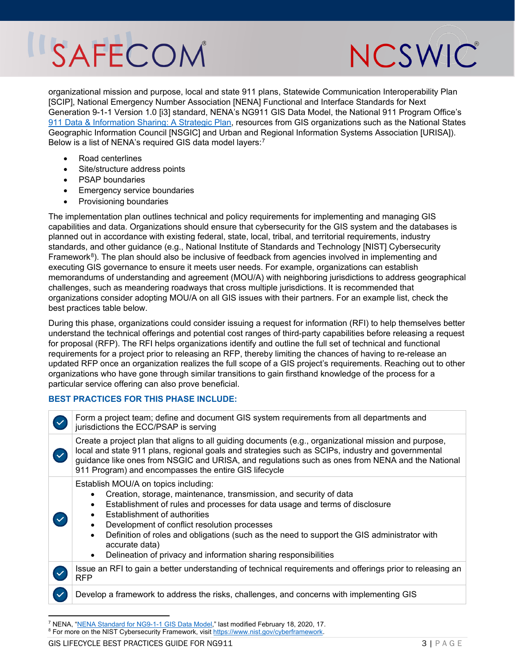NCSWIC

organizational mission and purpose, local and state 911 plans, Statewide Communication Interoperability Plan [SCIP], National Emergency Number Association [NENA] Functional and Interface Standards for Next Generation 9-1-1 Version 1.0 [i3] standard, NENA's NG911 GIS Data Model, the National 911 Program Office's <u>[911 Data & Information Sharing: A Strategic Plan](https://www.911.gov/project_strategicplanningfor911data.html)</u>, resources from GIS organizations such as the National States Geographic Information Council [NSGIC] and Urban and Regional Information Systems Association [URISA]). Below is a list of NENA's required GIS data model layers:<sup>[7](#page-3-0)</sup>

- Road centerlines
- Site/structure address points
- PSAP boundaries
- **Emergency service boundaries**
- Provisioning boundaries

The implementation plan outlines technical and policy requirements for implementing and managing GIS capabilities and data. Organizations should ensure that cybersecurity for the GIS system and the databases is planned out in accordance with existing federal, state, local, tribal, and territorial requirements, industry standards, and other guidance (e.g., National Institute of Standards and Technology [NIST] Cybersecurity Framework $8$ ). The plan should also be inclusive of feedback from agencies involved in implementing and executing GIS governance to ensure it meets user needs. For example, organizations can establish memorandums of understanding and agreement (MOU/A) with neighboring jurisdictions to address geographical challenges, such as meandering roadways that cross multiple jurisdictions. It is recommended that organizations consider adopting MOU/A on all GIS issues with their partners. For an example list, check the best practices table below.

During this phase, organizations could consider issuing a request for information (RFI) to help themselves better understand the technical offerings and potential cost ranges of third-party capabilities before releasing a request for proposal (RFP). The RFI helps organizations identify and outline the full set of technical and functional requirements for a project prior to releasing an RFP, thereby limiting the chances of having to re-release an updated RFP once an organization realizes the full scope of a GIS project's requirements. Reaching out to other organizations who have gone through similar transitions to gain firsthand knowledge of the process for a particular service offering can also prove beneficial.

#### **BEST PRACTICES FOR THIS PHASE INCLUDE:**

| Form a project team; define and document GIS system requirements from all departments and<br>jurisdictions the ECC/PSAP is serving                                                                                                                                                                                                                                                                                                                                                                               |  |  |
|------------------------------------------------------------------------------------------------------------------------------------------------------------------------------------------------------------------------------------------------------------------------------------------------------------------------------------------------------------------------------------------------------------------------------------------------------------------------------------------------------------------|--|--|
| Create a project plan that aligns to all guiding documents (e.g., organizational mission and purpose,<br>local and state 911 plans, regional goals and strategies such as SCIPs, industry and governmental<br>guidance like ones from NSGIC and URISA, and regulations such as ones from NENA and the National<br>911 Program) and encompasses the entire GIS lifecycle                                                                                                                                          |  |  |
| Establish MOU/A on topics including:<br>Creation, storage, maintenance, transmission, and security of data<br>Establishment of rules and processes for data usage and terms of disclosure<br>$\bullet$<br><b>Establishment of authorities</b><br>Development of conflict resolution processes<br>$\bullet$<br>Definition of roles and obligations (such as the need to support the GIS administrator with<br>$\bullet$<br>accurate data)<br>Delineation of privacy and information sharing responsibilities<br>٠ |  |  |
| Issue an RFI to gain a better understanding of technical requirements and offerings prior to releasing an<br><b>RFP</b>                                                                                                                                                                                                                                                                                                                                                                                          |  |  |
| Develop a framework to address the risks, challenges, and concerns with implementing GIS                                                                                                                                                                                                                                                                                                                                                                                                                         |  |  |
|                                                                                                                                                                                                                                                                                                                                                                                                                                                                                                                  |  |  |

<sup>&</sup>lt;sup>7</sup> NENA, "<u>NENA Standard for NG9-1-1 GIS Data Model</u>," last modified February 18, 2020, 17.<br><sup>8</sup> Eor more on the NIST Cybersecurity Framework, visit https://www.nist.gov/cyberframework.

<span id="page-2-0"></span><sup>&</sup>lt;sup>8</sup> For more on the NIST Cybersecurity Framework, visit [https://www.nist.gov/cyberframework.](https://www.nist.gov/cyberframework)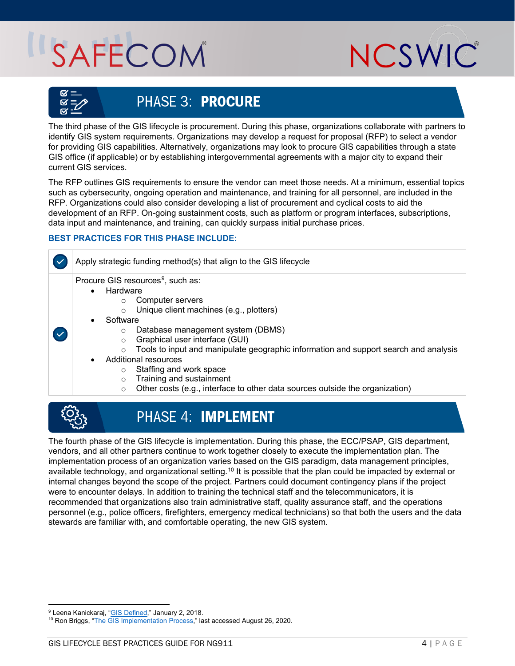

<span id="page-3-0"></span>

### **PHASE 3: PROCURE**

The third phase of the GIS lifecycle is procurement. During this phase, organizations collaborate with partners to identify GIS system requirements. Organizations may develop a request for proposal (RFP) to select a vendor for providing GIS capabilities. Alternatively, organizations may look to procure GIS capabilities through a state GIS office (if applicable) or by establishing intergovernmental agreements with a major city to expand their current GIS services.

The RFP outlines GIS requirements to ensure the vendor can meet those needs. At a minimum, essential topics such as cybersecurity, ongoing operation and maintenance, and training for all personnel, are included in the RFP. Organizations could also consider developing a list of procurement and cyclical costs to aid the development of an RFP. On-going sustainment costs, such as platform or program interfaces, subscriptions, data input and maintenance, and training, can quickly surpass initial purchase prices.

### **BEST PRACTICES FOR THIS PHASE INCLUDE:**

Apply strategic funding method(s) that align to the GIS lifecycle

Procure GIS resources<sup>9</sup>, such as:

- **Hardware** 
	- o Computer servers
	- o Unique client machines (e.g., plotters)
- **Software** 
	- Database management system (DBMS)<br>○ Graphical user interface (GUI)
	- Graphical user interface (GUI)
	- $\circ$  Tools to input and manipulate geographic information and support search and analysis
- Additional resources
	- o Staffing and work space
	- o Training and sustainment
	- o Other costs (e.g., interface to other data sources outside the organization)



 $\checkmark$ 

### **PHASE 4: IMPLEMENT**

The fourth phase of the GIS lifecycle is implementation. During this phase, the ECC/PSAP, GIS department, vendors, and all other partners continue to work together closely to execute the implementation plan. The implementation process of an organization varies based on the GIS paradigm, data management principles, available technology, and organizational setting.<sup>[10](#page-3-2)</sup> It is possible that the plan could be impacted by external or internal changes beyond the scope of the project. Partners could document contingency plans if the project were to encounter delays. In addition to training the technical staff and the telecommunicators, it is recommended that organizations also train administrative staff, quality assurance staff, and the operations personnel (e.g., police officers, firefighters, emergency medical technicians) so that both the users and the data stewards are familiar with, and comfortable operating, the new GIS system.

 $\overline{a}$ <sup>9</sup> Leena Kanickaraj, "GIS Defined," January 2, 2018.

<span id="page-3-2"></span><span id="page-3-1"></span><sup>&</sup>lt;sup>10</sup> Ron Briggs, ["The GIS Implementation Process,](https://www.google.com/url?sa=t&rct=j&q=&esrc=s&source=web&cd=&ved=2ahUKEwjZw8nvjrfrAhV5mHIEHQrvDo8QFjAAegQIBBAB&url=http%3A%2F%2Fwww.utdallas.edu%2F%7Ebriggs%2Fpoec6383%2Fimpintro.ppt&usg=AOvVaw1Nax-L3gKl7ZOkGoPqpnWz)" last accessed August 26, 2020.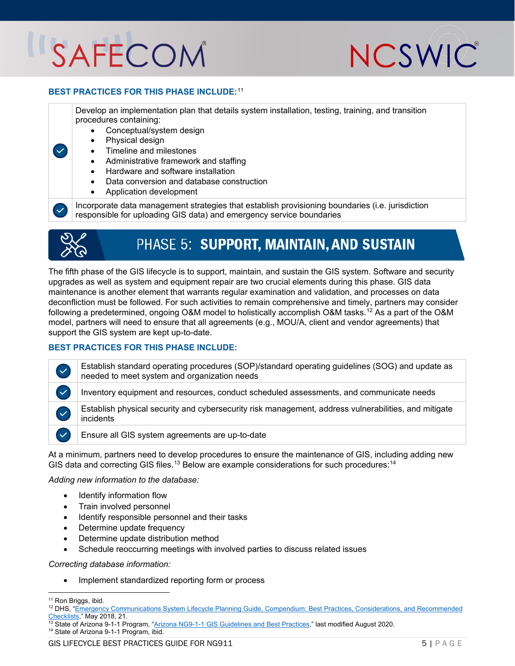

#### **BEST PRACTICES FOR THIS PHASE INCLUDE:**[11](#page-4-0)

Develop an implementation plan that details system installation, testing, training, and transition procedures containing:

- Conceptual/system design
- Physical design
- Timeline and milestones
- Administrative framework and staffing
- Hardware and software installation
- Data conversion and database construction
- Application development

Incorporate data management strategies that establish provisioning boundaries (i.e. jurisdiction responsible for uploading GIS data) and emergency service boundaries



 $\checkmark$ 

## PHASE 5: SUPPORT, MAINTAIN, AND SUSTAIN

The fifth phase of the GIS lifecycle is to support, maintain, and sustain the GIS system. Software and security upgrades as well as system and equipment repair are two crucial elements during this phase. GIS data maintenance is another element that warrants regular examination and validation, and processes on data deconfliction must be followed. For such activities to remain comprehensive and timely, partners may consider following a predetermined, ongoing O&M model to holistically accomplish O&M tasks.<sup>[12](#page-4-1)</sup> As a part of the O&M model, partners will need to ensure that all agreements (e.g., MOU/A, client and vendor agreements) that support the GIS system are kept up-to-date.

#### **BEST PRACTICES FOR THIS PHASE INCLUDE:**

Establish standard operating procedures (SOP)/standard operating guidelines (SOG) and update as  $\checkmark$ needed to meet system and organization needs  $\checkmark$ Inventory equipment and resources, conduct scheduled assessments, and communicate needs Establish physical security and cybersecurity risk management, address vulnerabilities, and mitigate  $\checkmark$ incidents  $\checkmark$ Ensure all GIS system agreements are up-to-date At a minimum, partners need to develop procedures to ensure the maintenance of GIS, including adding new GIS data and correcting GIS files.<sup>[13](#page-4-2)</sup> Below are example considerations for such procedures:<sup>[14](#page-4-3)</sup>

#### *Adding new information to the database:*

- Identify information flow
- Train involved personnel
- Identify responsible personnel and their tasks
- Determine update frequency
- Determine update distribution method
- Schedule reoccurring meetings with involved parties to discuss related issues

#### *Correcting database information:*

• Implement standardized reporting form or process

 $\overline{a}$ 

<span id="page-4-3"></span>

<sup>&</sup>lt;sup>11</sup> Ron Briggs, ibid.

<span id="page-4-2"></span><span id="page-4-1"></span><span id="page-4-0"></span><sup>&</sup>lt;sup>12</sup> DHS, "Emergency Communications System Lifecycle Planning Guide, Compendium: Best Practices, Considerations, and Recommended [Checklists,](https://www.hsdl.org/?abstract&did=819629)" May 2018, 21.<br>
<sup>Checklists," May 2018, 21.</sup><br>
<sup>13</sup> State of Arizona 9-1-1 Program, ["Arizona NG9-1-1 GIS Guidelines and Best Practices,](https://az911.gov/sites/default/files/AZ_NG911_GIS_Guideline_Best%20Practices.pdf)" last modified August 2020.<br>
<sup>14</sup> State of Arizona 9-1-1 Program, ibid.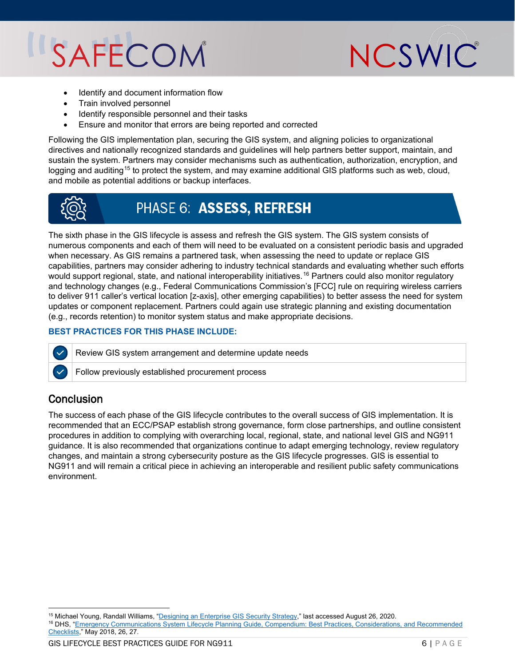

- Identify and document information flow
- Train involved personnel
- Identify responsible personnel and their tasks
- Ensure and monitor that errors are being reported and corrected

Following the GIS implementation plan, securing the GIS system, and aligning policies to organizational directives and nationally recognized standards and guidelines will help partners better support, maintain, and sustain the system. Partners may consider mechanisms such as authentication, authorization, encryption, and logging and auditing<sup>[15](#page-5-0)</sup> to protect the system, and may examine additional GIS platforms such as web, cloud, and mobile as potential additions or backup interfaces.



### **PHASE 6: ASSESS, REFRESH**

The sixth phase in the GIS lifecycle is assess and refresh the GIS system. The GIS system consists of numerous components and each of them will need to be evaluated on a consistent periodic basis and upgraded when necessary. As GIS remains a partnered task, when assessing the need to update or replace GIS capabilities, partners may consider adhering to industry technical standards and evaluating whether such efforts would support regional, state, and national interoperability initiatives.<sup>[16](#page-5-1)</sup> Partners could also monitor regulatory and technology changes (e.g., Federal Communications Commission's [FCC] rule on requiring wireless carriers to deliver 911 caller's vertical location [z-axis], other emerging capabilities) to better assess the need for system updates or component replacement. Partners could again use strategic planning and existing documentation (e.g., records retention) to monitor system status and make appropriate decisions.

#### **BEST PRACTICES FOR THIS PHASE INCLUDE:**

Review GIS system arrangement and determine update needs

Follow previously established procurement process

### **Conclusion**

The success of each phase of the GIS lifecycle contributes to the overall success of GIS implementation. It is recommended that an ECC/PSAP establish strong governance, form close partnerships, and outline consistent procedures in addition to complying with overarching local, regional, state, and national level GIS and NG911 guidance. It is also recommended that organizations continue to adapt emerging technology, review regulatory changes, and maintain a strong cybersecurity posture as the GIS lifecycle progresses. GIS is essential to NG911 and will remain a critical piece in achieving an interoperable and resilient public safety communications environment.

 $\overline{a}$ 

<span id="page-5-1"></span><span id="page-5-0"></span><sup>&</sup>lt;sup>15</sup> Michael Young, Randall Williams, "<u>Designing an Enterprise GIS Security Strategy</u>," last accessed August 26, 2020.<br><sup>16</sup> DHS, "Emergency Communications System Lifecycle Planning Guide, Compendium: Best Practices, Consi [Checklists,](https://www.hsdl.org/?abstract&did=819629)" May 2018, 26, 27.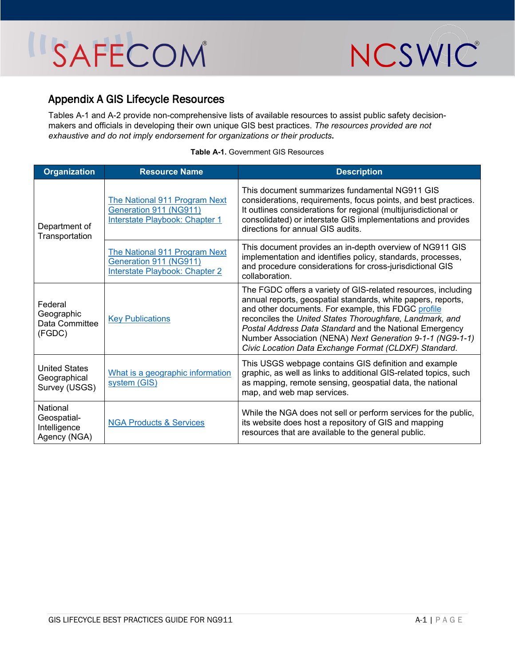

### Appendix A GIS Lifecycle Resources

Tables A-1 and A-2 provide non-comprehensive lists of available resources to assist public safety decisionmakers and officials in developing their own unique GIS best practices. *The resources provided are not exhaustive and do not imply endorsement for organizations or their products***.** 

| <b>Organization</b>                                                          | <b>Resource Name</b>                                                                             | <b>Description</b>                                                                                                                                                                                                                                                                                                                                                                                                                |
|------------------------------------------------------------------------------|--------------------------------------------------------------------------------------------------|-----------------------------------------------------------------------------------------------------------------------------------------------------------------------------------------------------------------------------------------------------------------------------------------------------------------------------------------------------------------------------------------------------------------------------------|
| Department of<br>Transportation                                              | The National 911 Program Next<br>Generation 911 (NG911)<br>Interstate Playbook: Chapter 1        | This document summarizes fundamental NG911 GIS<br>considerations, requirements, focus points, and best practices.<br>It outlines considerations for regional (multijurisdictional or<br>consolidated) or interstate GIS implementations and provides<br>directions for annual GIS audits.                                                                                                                                         |
|                                                                              | The National 911 Program Next<br>Generation 911 (NG911)<br><b>Interstate Playbook: Chapter 2</b> | This document provides an in-depth overview of NG911 GIS<br>implementation and identifies policy, standards, processes,<br>and procedure considerations for cross-jurisdictional GIS<br>collaboration.                                                                                                                                                                                                                            |
| Federal<br>Geographic<br><b>Key Publications</b><br>Data Committee<br>(FGDC) |                                                                                                  | The FGDC offers a variety of GIS-related resources, including<br>annual reports, geospatial standards, white papers, reports,<br>and other documents. For example, this FDGC profile<br>reconciles the United States Thoroughfare, Landmark, and<br>Postal Address Data Standard and the National Emergency<br>Number Association (NENA) Next Generation 9-1-1 (NG9-1-1)<br>Civic Location Data Exchange Format (CLDXF) Standard. |
| <b>United States</b><br>Geographical<br>Survey (USGS)                        | What is a geographic information<br>system (GIS)                                                 | This USGS webpage contains GIS definition and example<br>graphic, as well as links to additional GIS-related topics, such<br>as mapping, remote sensing, geospatial data, the national<br>map, and web map services.                                                                                                                                                                                                              |
| National<br>Geospatial-<br>Intelligence<br>Agency (NGA)                      | <b>NGA Products &amp; Services</b>                                                               | While the NGA does not sell or perform services for the public,<br>its website does host a repository of GIS and mapping<br>resources that are available to the general public.                                                                                                                                                                                                                                                   |

#### **Table A-1.** Government GIS Resources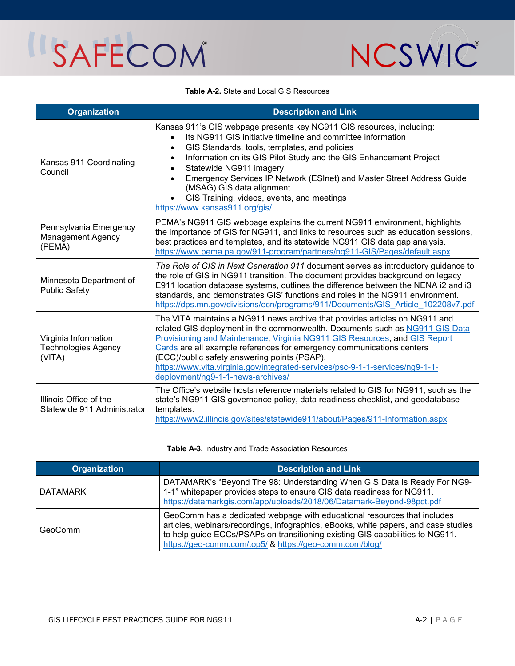

#### **Table A-2.** State and Local GIS Resources

| <b>Organization</b>                                          | <b>Description and Link</b>                                                                                                                                                                                                                                                                                                                                                                                                                                                                                                       |
|--------------------------------------------------------------|-----------------------------------------------------------------------------------------------------------------------------------------------------------------------------------------------------------------------------------------------------------------------------------------------------------------------------------------------------------------------------------------------------------------------------------------------------------------------------------------------------------------------------------|
| Kansas 911 Coordinating<br>Council                           | Kansas 911's GIS webpage presents key NG911 GIS resources, including:<br>Its NG911 GIS initiative timeline and committee information<br>$\bullet$<br>GIS Standards, tools, templates, and policies<br>$\bullet$<br>Information on its GIS Pilot Study and the GIS Enhancement Project<br>$\bullet$<br>Statewide NG911 imagery<br>$\bullet$<br>Emergency Services IP Network (ESInet) and Master Street Address Guide<br>(MSAG) GIS data alignment<br>GIS Training, videos, events, and meetings<br>https://www.kansas911.org/gis/ |
| Pennsylvania Emergency<br><b>Management Agency</b><br>(PEMA) | PEMA's NG911 GIS webpage explains the current NG911 environment, highlights<br>the importance of GIS for NG911, and links to resources such as education sessions,<br>best practices and templates, and its statewide NG911 GIS data gap analysis.<br>https://www.pema.pa.gov/911-program/partners/ng911-GIS/Pages/default.aspx                                                                                                                                                                                                   |
| Minnesota Department of<br><b>Public Safety</b>              | The Role of GIS in Next Generation 911 document serves as introductory guidance to<br>the role of GIS in NG911 transition. The document provides background on legacy<br>E911 location database systems, outlines the difference between the NENA i2 and i3<br>standards, and demonstrates GIS' functions and roles in the NG911 environment.<br>https://dps.mn.gov/divisions/ecn/programs/911/Documents/GIS Article 102208v7.pdf                                                                                                 |
| Virginia Information<br><b>Technologies Agency</b><br>(VITA) | The VITA maintains a NG911 news archive that provides articles on NG911 and<br>related GIS deployment in the commonwealth. Documents such as NG911 GIS Data<br>Provisioning and Maintenance, Virginia NG911 GIS Resources, and GIS Report<br>Cards are all example references for emergency communications centers<br>(ECC)/public safety answering points (PSAP).<br>https://www.vita.virginia.gov/integrated-services/psc-9-1-1-services/ng9-1-1-<br>deployment/ng9-1-1-news-archives/                                          |
| Illinois Office of the<br>Statewide 911 Administrator        | The Office's website hosts reference materials related to GIS for NG911, such as the<br>state's NG911 GIS governance policy, data readiness checklist, and geodatabase<br>templates.<br>https://www2.illinois.gov/sites/statewide911/about/Pages/911-Information.aspx                                                                                                                                                                                                                                                             |

#### **Table A-3.** Industry and Trade Association Resources

| <b>Organization</b> | <b>Description and Link</b>                                                                                                                                                                                                                                                                                 |
|---------------------|-------------------------------------------------------------------------------------------------------------------------------------------------------------------------------------------------------------------------------------------------------------------------------------------------------------|
| DATAMARK            | DATAMARK's "Beyond The 98: Understanding When GIS Data Is Ready For NG9-<br>1-1" whitepaper provides steps to ensure GIS data readiness for NG911.<br>https://datamarkgis.com/app/uploads/2018/06/Datamark-Beyond-98pct.pdf                                                                                 |
| GeoComm             | GeoComm has a dedicated webpage with educational resources that includes<br>articles, webinars/recordings, infographics, eBooks, white papers, and case studies<br>to help guide ECCs/PSAPs on transitioning existing GIS capabilities to NG911.<br>https://geo-comm.com/top5/ & https://geo-comm.com/blog/ |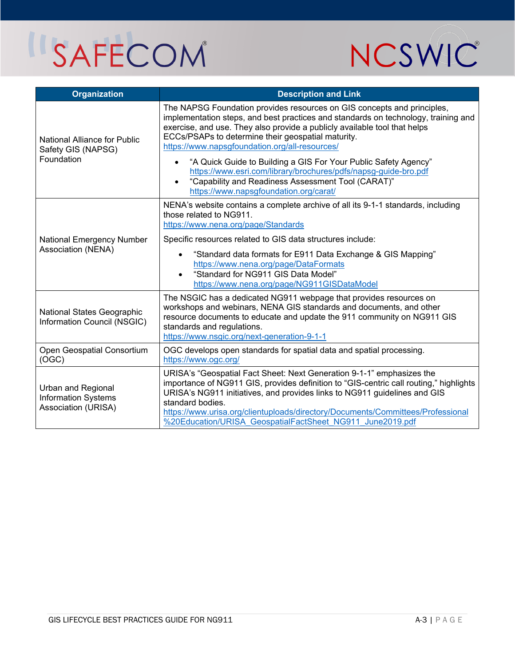

| <b>Organization</b>                                                     | <b>Description and Link</b>                                                                                                                                                                                                                                                                                                                                                                                                                                                                                                                                                                           |
|-------------------------------------------------------------------------|-------------------------------------------------------------------------------------------------------------------------------------------------------------------------------------------------------------------------------------------------------------------------------------------------------------------------------------------------------------------------------------------------------------------------------------------------------------------------------------------------------------------------------------------------------------------------------------------------------|
| <b>National Alliance for Public</b><br>Safety GIS (NAPSG)<br>Foundation | The NAPSG Foundation provides resources on GIS concepts and principles,<br>implementation steps, and best practices and standards on technology, training and<br>exercise, and use. They also provide a publicly available tool that helps<br>ECCs/PSAPs to determine their geospatial maturity.<br>https://www.napsgfoundation.org/all-resources/<br>"A Quick Guide to Building a GIS For Your Public Safety Agency"<br>https://www.esri.com/library/brochures/pdfs/napsg-guide-bro.pdf<br>"Capability and Readiness Assessment Tool (CARAT)"<br>$\bullet$<br>https://www.napsgfoundation.org/carat/ |
| National Emergency Number<br>Association (NENA)                         | NENA's website contains a complete archive of all its 9-1-1 standards, including<br>those related to NG911.<br>https://www.nena.org/page/Standards<br>Specific resources related to GIS data structures include:<br>"Standard data formats for E911 Data Exchange & GIS Mapping"<br>$\bullet$<br>https://www.nena.org/page/DataFormats<br>"Standard for NG911 GIS Data Model"<br>$\bullet$<br>https://www.nena.org/page/NG911GISDataModel                                                                                                                                                             |
| National States Geographic<br>Information Council (NSGIC)               | The NSGIC has a dedicated NG911 webpage that provides resources on<br>workshops and webinars, NENA GIS standards and documents, and other<br>resource documents to educate and update the 911 community on NG911 GIS<br>standards and regulations.<br>https://www.nsgic.org/next-generation-9-1-1                                                                                                                                                                                                                                                                                                     |
| Open Geospatial Consortium<br>(OGC)                                     | OGC develops open standards for spatial data and spatial processing.<br>https://www.ogc.org/                                                                                                                                                                                                                                                                                                                                                                                                                                                                                                          |
| Urban and Regional<br><b>Information Systems</b><br>Association (URISA) | URISA's "Geospatial Fact Sheet: Next Generation 9-1-1" emphasizes the<br>importance of NG911 GIS, provides definition to "GIS-centric call routing," highlights<br>URISA's NG911 initiatives, and provides links to NG911 guidelines and GIS<br>standard bodies.<br>https://www.urisa.org/clientuploads/directory/Documents/Committees/Professional<br>%20Education/URISA GeospatialFactSheet NG911 June2019.pdf                                                                                                                                                                                      |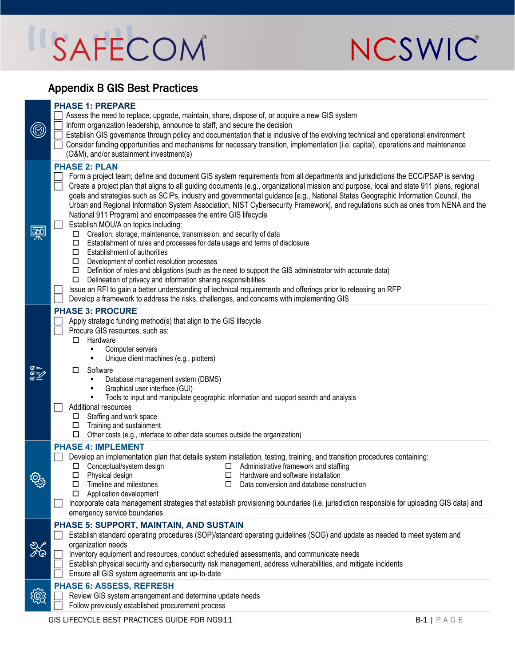

### Appendix B GIS Best Practices

| ۷              | <b>PHASE 1: PREPARE</b><br>Assess the need to replace, upgrade, maintain, share, dispose of, or acquire a new GIS system<br>Inform organization leadership, announce to staff, and secure the decision<br>Establish GIS governance through policy and documentation that is inclusive of the evolving technical and operational environment<br>Consider funding opportunities and mechanisms for necessary transition, implementation (i.e. capital), operations and maintenance<br>(O&M), and/or sustainment investment(s)                                                                                                                                                                                                                                                                                                                                                                                                                                                                                                                                                                                                                                                                                                                                                                                                                                                      |
|----------------|----------------------------------------------------------------------------------------------------------------------------------------------------------------------------------------------------------------------------------------------------------------------------------------------------------------------------------------------------------------------------------------------------------------------------------------------------------------------------------------------------------------------------------------------------------------------------------------------------------------------------------------------------------------------------------------------------------------------------------------------------------------------------------------------------------------------------------------------------------------------------------------------------------------------------------------------------------------------------------------------------------------------------------------------------------------------------------------------------------------------------------------------------------------------------------------------------------------------------------------------------------------------------------------------------------------------------------------------------------------------------------|
| $\overline{a}$ | <b>PHASE 2: PLAN</b><br>Form a project team; define and document GIS system requirements from all departments and jurisdictions the ECC/PSAP is serving<br>$\Box$<br>Create a project plan that aligns to all guiding documents (e.g., organizational mission and purpose, local and state 911 plans, regional<br>goals and strategies such as SCIPs, industry and governmental guidance [e.g., National States Geographic Information Council, the<br>Urban and Regional Information System Association, NIST Cybersecurity Framework], and regulations such as ones from NENA and the<br>National 911 Program) and encompasses the entire GIS lifecycle<br>Establish MOU/A on topics including:<br>$\Box$ Creation, storage, maintenance, transmission, and security of data<br>Establishment of rules and processes for data usage and terms of disclosure<br>Ш.<br>$\Box$ Establishment of authorities<br>$\Box$ Development of conflict resolution processes<br>$\Box$ Definition of roles and obligations (such as the need to support the GIS administrator with accurate data)<br>Delineation of privacy and information sharing responsibilities<br>$\Box$<br>Issue an RFI to gain a better understanding of technical requirements and offerings prior to releasing an RFP<br>Develop a framework to address the risks, challenges, and concerns with implementing GIS |
| aaa<br>ISP     | <b>PHASE 3: PROCURE</b><br>Apply strategic funding method(s) that align to the GIS lifecycle<br>$\Box$<br>Procure GIS resources, such as:<br>$\Box$<br>Hardware<br>Computer servers<br>Unique client machines (e.g., plotters)<br>Software<br>0.<br>Database management system (DBMS)<br>Graphical user interface (GUI)<br>Tools to input and manipulate geographic information and support search and analysis<br>Additional resources<br>$\Box$ Staffing and work space<br>Training and sustainment<br>□<br>Other costs (e.g., interface to other data sources outside the organization)<br>□                                                                                                                                                                                                                                                                                                                                                                                                                                                                                                                                                                                                                                                                                                                                                                                  |
| ઌૢૺૺૺૺૺ        | <b>PHASE 4: IMPLEMENT</b><br>Develop an implementation plan that details system installation, testing, training, and transition procedures containing:<br>Г<br>$\Box$ Conceptual/system design<br>$\Box$ Administrative framework and staffing<br>Physical design<br>Hardware and software installation<br>Timeline and milestones<br>Data conversion and database construction<br>П<br>Application development<br>Incorporate data management strategies that establish provisioning boundaries (i.e. jurisdiction responsible for uploading GIS data) and<br>emergency service boundaries                                                                                                                                                                                                                                                                                                                                                                                                                                                                                                                                                                                                                                                                                                                                                                                      |
| X              | PHASE 5: SUPPORT, MAINTAIN, AND SUSTAIN<br>Establish standard operating procedures (SOP)/standard operating guidelines (SOG) and update as needed to meet system and<br>organization needs<br>Inventory equipment and resources, conduct scheduled assessments, and communicate needs<br>Establish physical security and cybersecurity risk management, address vulnerabilities, and mitigate incidents<br>Ensure all GIS system agreements are up-to-date                                                                                                                                                                                                                                                                                                                                                                                                                                                                                                                                                                                                                                                                                                                                                                                                                                                                                                                       |
| <u> ଜୁନ୍ମ</u>  | <b>PHASE 6: ASSESS, REFRESH</b><br>Review GIS system arrangement and determine update needs<br>Follow previously established procurement process                                                                                                                                                                                                                                                                                                                                                                                                                                                                                                                                                                                                                                                                                                                                                                                                                                                                                                                                                                                                                                                                                                                                                                                                                                 |